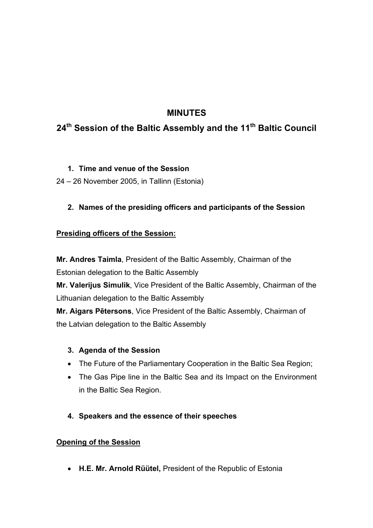# **MINUTES**

# 24<sup>th</sup> Session of the Baltic Assembly and the 11<sup>th</sup> Baltic Council

## **1. Time and venue of the Session**

24 – 26 November 2005, in Tallinn (Estonia)

## **2. Names of the presiding officers and participants of the Session**

## **Presiding officers of the Session:**

**Mr. Andres Taimla**, President of the Baltic Assembly, Chairman of the Estonian delegation to the Baltic Assembly

**Mr. Valerijus Simulik**, Vice President of the Baltic Assembly, Chairman of the Lithuanian delegation to the Baltic Assembly

**Mr. Aigars Pētersons**, Vice President of the Baltic Assembly, Chairman of the Latvian delegation to the Baltic Assembly

### **3. Agenda of the Session**

- The Future of the Parliamentary Cooperation in the Baltic Sea Region;
- The Gas Pipe line in the Baltic Sea and its Impact on the Environment in the Baltic Sea Region.
- **4. Speakers and the essence of their speeches**

### **Opening of the Session**

• **H.E. Mr. Arnold Rüütel,** President of the Republic of Estonia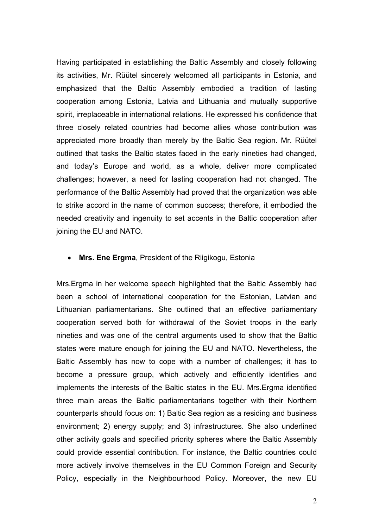Having participated in establishing the Baltic Assembly and closely following its activities, Mr. Rüütel sincerely welcomed all participants in Estonia, and emphasized that the Baltic Assembly embodied a tradition of lasting cooperation among Estonia, Latvia and Lithuania and mutually supportive spirit, irreplaceable in international relations. He expressed his confidence that three closely related countries had become allies whose contribution was appreciated more broadly than merely by the Baltic Sea region. Mr. Rüütel outlined that tasks the Baltic states faced in the early nineties had changed, and today's Europe and world, as a whole, deliver more complicated challenges; however, a need for lasting cooperation had not changed. The performance of the Baltic Assembly had proved that the organization was able to strike accord in the name of common success; therefore, it embodied the needed creativity and ingenuity to set accents in the Baltic cooperation after joining the EU and NATO.

#### • **Mrs. Ene Ergma**, President of the Riigikogu, Estonia

Mrs.Ergma in her welcome speech highlighted that the Baltic Assembly had been a school of international cooperation for the Estonian, Latvian and Lithuanian parliamentarians. She outlined that an effective parliamentary cooperation served both for withdrawal of the Soviet troops in the early nineties and was one of the central arguments used to show that the Baltic states were mature enough for joining the EU and NATO. Nevertheless, the Baltic Assembly has now to cope with a number of challenges; it has to become a pressure group, which actively and efficiently identifies and implements the interests of the Baltic states in the EU. Mrs.Ergma identified three main areas the Baltic parliamentarians together with their Northern counterparts should focus on: 1) Baltic Sea region as a residing and business environment; 2) energy supply; and 3) infrastructures. She also underlined other activity goals and specified priority spheres where the Baltic Assembly could provide essential contribution. For instance, the Baltic countries could more actively involve themselves in the EU Common Foreign and Security Policy, especially in the Neighbourhood Policy. Moreover, the new EU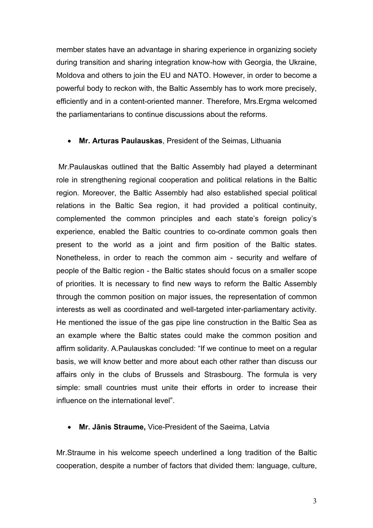member states have an advantage in sharing experience in organizing society during transition and sharing integration know-how with Georgia, the Ukraine, Moldova and others to join the EU and NATO. However, in order to become a powerful body to reckon with, the Baltic Assembly has to work more precisely, efficiently and in a content-oriented manner. Therefore, Mrs.Ergma welcomed the parliamentarians to continue discussions about the reforms.

• **Mr. Arturas Paulauskas**, President of the Seimas, Lithuania

 Mr.Paulauskas outlined that the Baltic Assembly had played a determinant role in strengthening regional cooperation and political relations in the Baltic region. Moreover, the Baltic Assembly had also established special political relations in the Baltic Sea region, it had provided a political continuity, complemented the common principles and each state's foreign policy's experience, enabled the Baltic countries to co-ordinate common goals then present to the world as a joint and firm position of the Baltic states. Nonetheless, in order to reach the common aim - security and welfare of people of the Baltic region - the Baltic states should focus on a smaller scope of priorities. It is necessary to find new ways to reform the Baltic Assembly through the common position on major issues, the representation of common interests as well as coordinated and well-targeted inter-parliamentary activity. He mentioned the issue of the gas pipe line construction in the Baltic Sea as an example where the Baltic states could make the common position and affirm solidarity. A.Paulauskas concluded: "If we continue to meet on a regular basis, we will know better and more about each other rather than discuss our affairs only in the clubs of Brussels and Strasbourg. The formula is very simple: small countries must unite their efforts in order to increase their influence on the international level".

• **Mr. Jānis Straume,** Vice-President of the Saeima, Latvia

Mr.Straume in his welcome speech underlined a long tradition of the Baltic cooperation, despite a number of factors that divided them: language, culture,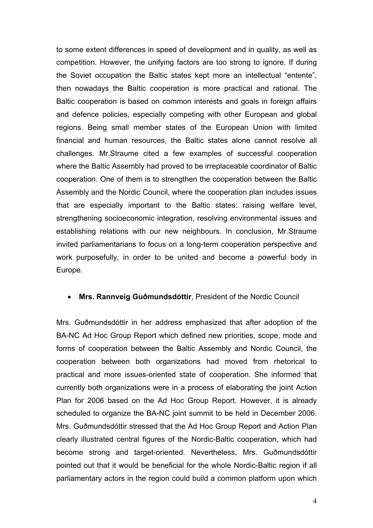to some extent differences in speed of development and in quality, as well as competition. However, the unifying factors are too strong to ignore. If during the Soviet occupation the Baltic states kept more an intellectual "entente", then nowadays the Baltic cooperation is more practical and rational. The Baltic cooperation is based on common interests and goals in foreign affairs and defence policies, especially competing with other European and global regions. Being small member states of the European Union with limited financial and human resources, the Baltic states alone cannot resolve all challenges. Mr.Straume cited a few examples of successful cooperation where the Baltic Assembly had proved to be irreplaceable coordinator of Baltic cooperation. One of them is to strengthen the cooperation between the Baltic Assembly and the Nordic Council, where the cooperation plan includes issues that are especially important to the Baltic states: raising welfare level, strengthening socioeconomic integration, resolving environmental issues and establishing relations with our new neighbours. In conclusion, Mr.Straume invited parliamentarians to focus on a long-term cooperation perspective and work purposefully, in order to be united and become a powerful body in Europe.

#### • **Mrs. Rannveig Guðmundsdóttir**, President of the Nordic Council

Mrs. Guðmundsdóttir in her address emphasized that after adoption of the BA-NC Ad Hoc Group Report which defined new priorities, scope, mode and forms of cooperation between the Baltic Assembly and Nordic Council, the cooperation between both organizations had moved from rhetorical to practical and more issues-oriented state of cooperation. She informed that currently both organizations were in a process of elaborating the joint Action Plan for 2006 based on the Ad Hoc Group Report. However, it is already scheduled to organize the BA-NC joint summit to be held in December 2006. Mrs. Guðmundsdóttir stressed that the Ad Hoc Group Report and Action Plan clearly illustrated central figures of the Nordic-Baltic cooperation, which had become strong and target-oriented. Nevertheless, Mrs. Guðmundsdóttir pointed out that it would be beneficial for the whole Nordic-Baltic region if all parliamentary actors in the region could build a common platform upon which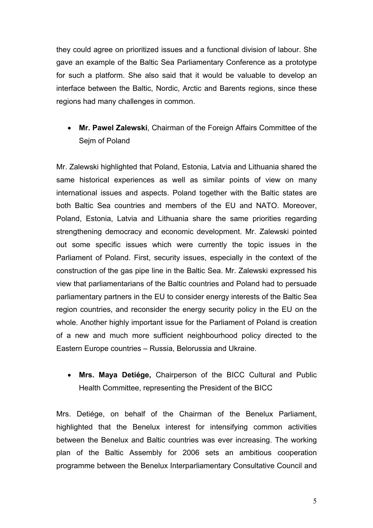they could agree on prioritized issues and a functional division of labour. She gave an example of the Baltic Sea Parliamentary Conference as a prototype for such a platform. She also said that it would be valuable to develop an interface between the Baltic, Nordic, Arctic and Barents regions, since these regions had many challenges in common.

• **Mr. Pawel Zalewski**, Chairman of the Foreign Affairs Committee of the Sejm of Poland

Mr. Zalewski highlighted that Poland, Estonia, Latvia and Lithuania shared the same historical experiences as well as similar points of view on many international issues and aspects. Poland together with the Baltic states are both Baltic Sea countries and members of the EU and NATO. Moreover, Poland, Estonia, Latvia and Lithuania share the same priorities regarding strengthening democracy and economic development. Mr. Zalewski pointed out some specific issues which were currently the topic issues in the Parliament of Poland. First, security issues, especially in the context of the construction of the gas pipe line in the Baltic Sea. Mr. Zalewski expressed his view that parliamentarians of the Baltic countries and Poland had to persuade parliamentary partners in the EU to consider energy interests of the Baltic Sea region countries, and reconsider the energy security policy in the EU on the whole. Another highly important issue for the Parliament of Poland is creation of a new and much more sufficient neighbourhood policy directed to the Eastern Europe countries – Russia, Belorussia and Ukraine.

• **Mrs. Maya Detiége,** Chairperson of the BICC Cultural and Public Health Committee, representing the President of the BICC

Mrs. Detiége, on behalf of the Chairman of the Benelux Parliament, highlighted that the Benelux interest for intensifying common activities between the Benelux and Baltic countries was ever increasing. The working plan of the Baltic Assembly for 2006 sets an ambitious cooperation programme between the Benelux Interparliamentary Consultative Council and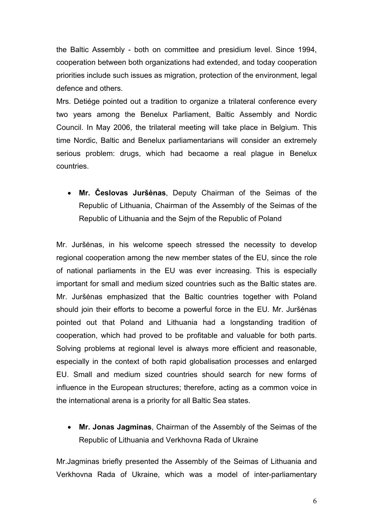the Baltic Assembly - both on committee and presidium level. Since 1994, cooperation between both organizations had extended, and today cooperation priorities include such issues as migration, protection of the environment, legal defence and others.

Mrs. Detiége pointed out a tradition to organize a trilateral conference every two years among the Benelux Parliament, Baltic Assembly and Nordic Council. In May 2006, the trilateral meeting will take place in Belgium. This time Nordic, Baltic and Benelux parliamentarians will consider an extremely serious problem: drugs, which had becaome a real plague in Benelux countries.

• **Mr. Česlovas Juršėnas**, Deputy Chairman of the Seimas of the Republic of Lithuania, Chairman of the Assembly of the Seimas of the Republic of Lithuania and the Sejm of the Republic of Poland

Mr. Juršėnas, in his welcome speech stressed the necessity to develop regional cooperation among the new member states of the EU, since the role of national parliaments in the EU was ever increasing. This is especially important for small and medium sized countries such as the Baltic states are. Mr. Juršėnas emphasized that the Baltic countries together with Poland should join their efforts to become a powerful force in the EU. Mr. Juršėnas pointed out that Poland and Lithuania had a longstanding tradition of cooperation, which had proved to be profitable and valuable for both parts. Solving problems at regional level is always more efficient and reasonable, especially in the context of both rapid globalisation processes and enlarged EU. Small and medium sized countries should search for new forms of influence in the European structures; therefore, acting as a common voice in the international arena is a priority for all Baltic Sea states.

• **Mr. Jonas Jagminas**, Chairman of the Assembly of the Seimas of the Republic of Lithuania and Verkhovna Rada of Ukraine

Mr.Jagminas briefly presented the Assembly of the Seimas of Lithuania and Verkhovna Rada of Ukraine, which was a model of inter-parliamentary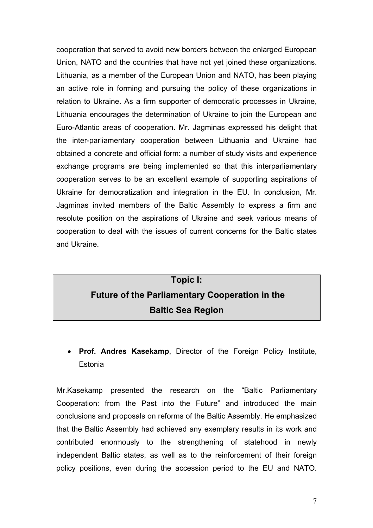cooperation that served to avoid new borders between the enlarged European Union, NATO and the countries that have not yet joined these organizations. Lithuania, as a member of the European Union and NATO, has been playing an active role in forming and pursuing the policy of these organizations in relation to Ukraine. As a firm supporter of democratic processes in Ukraine, Lithuania encourages the determination of Ukraine to join the European and Euro-Atlantic areas of cooperation. Mr. Jagminas expressed his delight that the inter-parliamentary cooperation between Lithuania and Ukraine had obtained a concrete and official form: a number of study visits and experience exchange programs are being implemented so that this interparliamentary cooperation serves to be an excellent example of supporting aspirations of Ukraine for democratization and integration in the EU. In conclusion, Mr. Jagminas invited members of the Baltic Assembly to express a firm and resolute position on the aspirations of Ukraine and seek various means of cooperation to deal with the issues of current concerns for the Baltic states and Ukraine.

# **Topic I: Future of the Parliamentary Cooperation in the Baltic Sea Region**

• **Prof. Andres Kasekamp**, Director of the Foreign Policy Institute, **Estonia** 

Mr.Kasekamp presented the research on the "Baltic Parliamentary Cooperation: from the Past into the Future" and introduced the main conclusions and proposals on reforms of the Baltic Assembly. He emphasized that the Baltic Assembly had achieved any exemplary results in its work and contributed enormously to the strengthening of statehood in newly independent Baltic states, as well as to the reinforcement of their foreign policy positions, even during the accession period to the EU and NATO.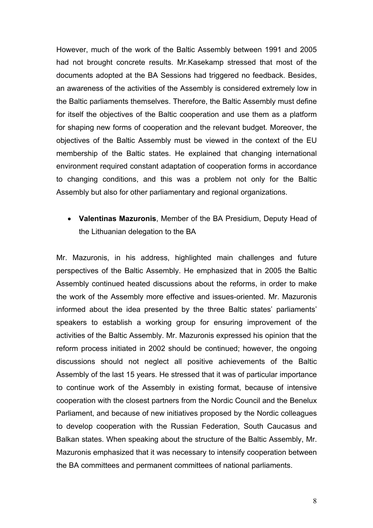However, much of the work of the Baltic Assembly between 1991 and 2005 had not brought concrete results. Mr.Kasekamp stressed that most of the documents adopted at the BA Sessions had triggered no feedback. Besides, an awareness of the activities of the Assembly is considered extremely low in the Baltic parliaments themselves. Therefore, the Baltic Assembly must define for itself the objectives of the Baltic cooperation and use them as a platform for shaping new forms of cooperation and the relevant budget. Moreover, the objectives of the Baltic Assembly must be viewed in the context of the EU membership of the Baltic states. He explained that changing international environment required constant adaptation of cooperation forms in accordance to changing conditions, and this was a problem not only for the Baltic Assembly but also for other parliamentary and regional organizations.

• **Valentinas Mazuronis**, Member of the BA Presidium, Deputy Head of the Lithuanian delegation to the BA

Mr. Mazuronis, in his address, highlighted main challenges and future perspectives of the Baltic Assembly. He emphasized that in 2005 the Baltic Assembly continued heated discussions about the reforms, in order to make the work of the Assembly more effective and issues-oriented. Mr. Mazuronis informed about the idea presented by the three Baltic states' parliaments' speakers to establish a working group for ensuring improvement of the activities of the Baltic Assembly. Mr. Mazuronis expressed his opinion that the reform process initiated in 2002 should be continued; however, the ongoing discussions should not neglect all positive achievements of the Baltic Assembly of the last 15 years. He stressed that it was of particular importance to continue work of the Assembly in existing format, because of intensive cooperation with the closest partners from the Nordic Council and the Benelux Parliament, and because of new initiatives proposed by the Nordic colleagues to develop cooperation with the Russian Federation, South Caucasus and Balkan states. When speaking about the structure of the Baltic Assembly, Mr. Mazuronis emphasized that it was necessary to intensify cooperation between the BA committees and permanent committees of national parliaments.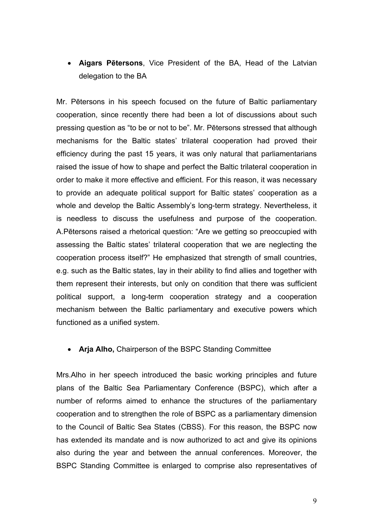• **Aigars Pētersons**, Vice President of the BA, Head of the Latvian delegation to the BA

Mr. Pētersons in his speech focused on the future of Baltic parliamentary cooperation, since recently there had been a lot of discussions about such pressing question as "to be or not to be". Mr. Pētersons stressed that although mechanisms for the Baltic states' trilateral cooperation had proved their efficiency during the past 15 years, it was only natural that parliamentarians raised the issue of how to shape and perfect the Baltic trilateral cooperation in order to make it more effective and efficient. For this reason, it was necessary to provide an adequate political support for Baltic states' cooperation as a whole and develop the Baltic Assembly's long-term strategy. Nevertheless, it is needless to discuss the usefulness and purpose of the cooperation. A.Pētersons raised a rhetorical question: "Are we getting so preoccupied with assessing the Baltic states' trilateral cooperation that we are neglecting the cooperation process itself?" He emphasized that strength of small countries, e.g. such as the Baltic states, lay in their ability to find allies and together with them represent their interests, but only on condition that there was sufficient political support, a long-term cooperation strategy and a cooperation mechanism between the Baltic parliamentary and executive powers which functioned as a unified system.

• **Arja Alho,** Chairperson of the BSPC Standing Committee

Mrs.Alho in her speech introduced the basic working principles and future plans of the Baltic Sea Parliamentary Conference (BSPC), which after a number of reforms aimed to enhance the structures of the parliamentary cooperation and to strengthen the role of BSPC as a parliamentary dimension to the Council of Baltic Sea States (CBSS). For this reason, the BSPC now has extended its mandate and is now authorized to act and give its opinions also during the year and between the annual conferences. Moreover, the BSPC Standing Committee is enlarged to comprise also representatives of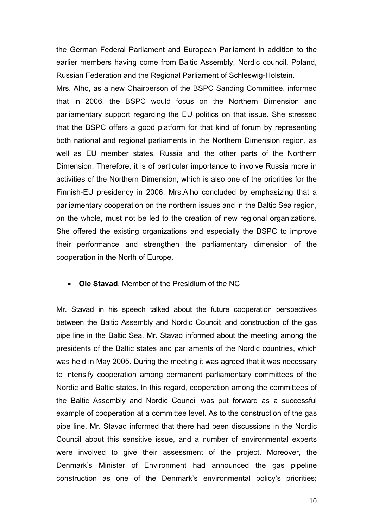the German Federal Parliament and European Parliament in addition to the earlier members having come from Baltic Assembly, Nordic council, Poland, Russian Federation and the Regional Parliament of Schleswig-Holstein.

Mrs. Alho, as a new Chairperson of the BSPC Sanding Committee, informed that in 2006, the BSPC would focus on the Northern Dimension and parliamentary support regarding the EU politics on that issue. She stressed that the BSPC offers a good platform for that kind of forum by representing both national and regional parliaments in the Northern Dimension region, as well as EU member states, Russia and the other parts of the Northern Dimension. Therefore, it is of particular importance to involve Russia more in activities of the Northern Dimension, which is also one of the priorities for the Finnish-EU presidency in 2006. Mrs.Alho concluded by emphasizing that a parliamentary cooperation on the northern issues and in the Baltic Sea region, on the whole, must not be led to the creation of new regional organizations. She offered the existing organizations and especially the BSPC to improve their performance and strengthen the parliamentary dimension of the cooperation in the North of Europe.

• **Ole Stavad**, Member of the Presidium of the NC

Mr. Stavad in his speech talked about the future cooperation perspectives between the Baltic Assembly and Nordic Council; and construction of the gas pipe line in the Baltic Sea. Mr. Stavad informed about the meeting among the presidents of the Baltic states and parliaments of the Nordic countries, which was held in May 2005. During the meeting it was agreed that it was necessary to intensify cooperation among permanent parliamentary committees of the Nordic and Baltic states. In this regard, cooperation among the committees of the Baltic Assembly and Nordic Council was put forward as a successful example of cooperation at a committee level. As to the construction of the gas pipe line, Mr. Stavad informed that there had been discussions in the Nordic Council about this sensitive issue, and a number of environmental experts were involved to give their assessment of the project. Moreover, the Denmark's Minister of Environment had announced the gas pipeline construction as one of the Denmark's environmental policy's priorities;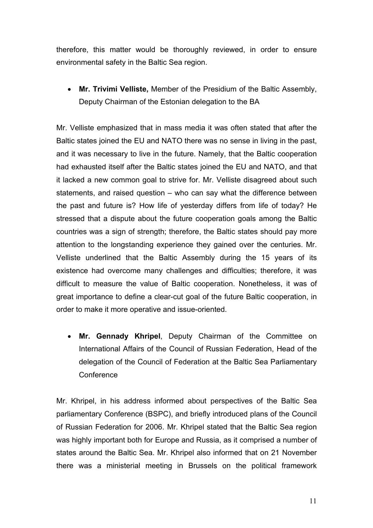therefore, this matter would be thoroughly reviewed, in order to ensure environmental safety in the Baltic Sea region.

• **Mr. Trivimi Velliste,** Member of the Presidium of the Baltic Assembly, Deputy Chairman of the Estonian delegation to the BA

Mr. Velliste emphasized that in mass media it was often stated that after the Baltic states joined the EU and NATO there was no sense in living in the past, and it was necessary to live in the future. Namely, that the Baltic cooperation had exhausted itself after the Baltic states joined the EU and NATO, and that it lacked a new common goal to strive for. Mr. Velliste disagreed about such statements, and raised question – who can say what the difference between the past and future is? How life of yesterday differs from life of today? He stressed that a dispute about the future cooperation goals among the Baltic countries was a sign of strength; therefore, the Baltic states should pay more attention to the longstanding experience they gained over the centuries. Mr. Velliste underlined that the Baltic Assembly during the 15 years of its existence had overcome many challenges and difficulties; therefore, it was difficult to measure the value of Baltic cooperation. Nonetheless, it was of great importance to define a clear-cut goal of the future Baltic cooperation, in order to make it more operative and issue-oriented.

• **Mr. Gennady Khripel**, Deputy Chairman of the Committee on International Affairs of the Council of Russian Federation, Head of the delegation of the Council of Federation at the Baltic Sea Parliamentary **Conference** 

Mr. Khripel, in his address informed about perspectives of the Baltic Sea parliamentary Conference (BSPC), and briefly introduced plans of the Council of Russian Federation for 2006. Mr. Khripel stated that the Baltic Sea region was highly important both for Europe and Russia, as it comprised a number of states around the Baltic Sea. Mr. Khripel also informed that on 21 November there was a ministerial meeting in Brussels on the political framework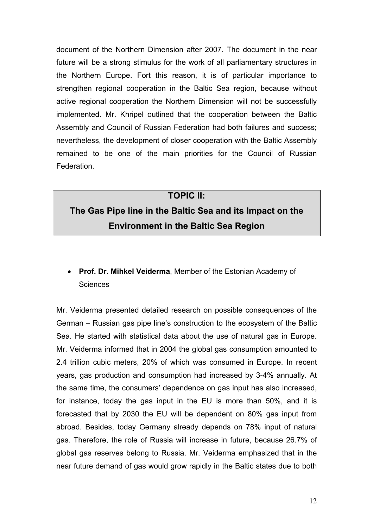document of the Northern Dimension after 2007. The document in the near future will be a strong stimulus for the work of all parliamentary structures in the Northern Europe. Fort this reason, it is of particular importance to strengthen regional cooperation in the Baltic Sea region, because without active regional cooperation the Northern Dimension will not be successfully implemented. Mr. Khripel outlined that the cooperation between the Baltic Assembly and Council of Russian Federation had both failures and success; nevertheless, the development of closer cooperation with the Baltic Assembly remained to be one of the main priorities for the Council of Russian Federation.

## **TOPIC II:**

# **The Gas Pipe line in the Baltic Sea and its Impact on the Environment in the Baltic Sea Region**

• **Prof. Dr. Mihkel Veiderma**, Member of the Estonian Academy of **Sciences** 

Mr. Veiderma presented detailed research on possible consequences of the German – Russian gas pipe line's construction to the ecosystem of the Baltic Sea. He started with statistical data about the use of natural gas in Europe. Mr. Veiderma informed that in 2004 the global gas consumption amounted to 2.4 trillion cubic meters, 20% of which was consumed in Europe. In recent years, gas production and consumption had increased by 3-4% annually. At the same time, the consumers' dependence on gas input has also increased, for instance, today the gas input in the EU is more than 50%, and it is forecasted that by 2030 the EU will be dependent on 80% gas input from abroad. Besides, today Germany already depends on 78% input of natural gas. Therefore, the role of Russia will increase in future, because 26.7% of global gas reserves belong to Russia. Mr. Veiderma emphasized that in the near future demand of gas would grow rapidly in the Baltic states due to both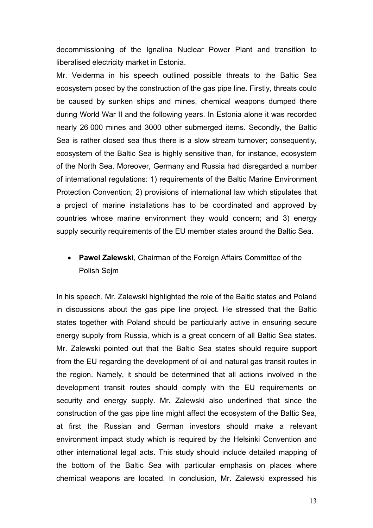decommissioning of the Ignalina Nuclear Power Plant and transition to liberalised electricity market in Estonia.

Mr. Veiderma in his speech outlined possible threats to the Baltic Sea ecosystem posed by the construction of the gas pipe line. Firstly, threats could be caused by sunken ships and mines, chemical weapons dumped there during World War II and the following years. In Estonia alone it was recorded nearly 26 000 mines and 3000 other submerged items. Secondly, the Baltic Sea is rather closed sea thus there is a slow stream turnover; consequently, ecosystem of the Baltic Sea is highly sensitive than, for instance, ecosystem of the North Sea. Moreover, Germany and Russia had disregarded a number of international regulations: 1) requirements of the Baltic Marine Environment Protection Convention; 2) provisions of international law which stipulates that a project of marine installations has to be coordinated and approved by countries whose marine environment they would concern; and 3) energy supply security requirements of the EU member states around the Baltic Sea.

# • **Pawel Zalewski**, Chairman of the Foreign Affairs Committee of the Polish Sejm

In his speech, Mr. Zalewski highlighted the role of the Baltic states and Poland in discussions about the gas pipe line project. He stressed that the Baltic states together with Poland should be particularly active in ensuring secure energy supply from Russia, which is a great concern of all Baltic Sea states. Mr. Zalewski pointed out that the Baltic Sea states should require support from the EU regarding the development of oil and natural gas transit routes in the region. Namely, it should be determined that all actions involved in the development transit routes should comply with the EU requirements on security and energy supply. Mr. Zalewski also underlined that since the construction of the gas pipe line might affect the ecosystem of the Baltic Sea, at first the Russian and German investors should make a relevant environment impact study which is required by the Helsinki Convention and other international legal acts. This study should include detailed mapping of the bottom of the Baltic Sea with particular emphasis on places where chemical weapons are located. In conclusion, Mr. Zalewski expressed his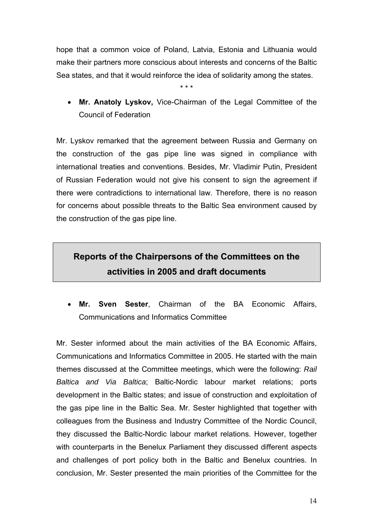hope that a common voice of Poland, Latvia, Estonia and Lithuania would make their partners more conscious about interests and concerns of the Baltic Sea states, and that it would reinforce the idea of solidarity among the states.

\* \* \*

• **Mr. Anatoly Lyskov,** Vice-Chairman of the Legal Committee of the Council of Federation

Mr. Lyskov remarked that the agreement between Russia and Germany on the construction of the gas pipe line was signed in compliance with international treaties and conventions. Besides, Mr. Vladimir Putin, President of Russian Federation would not give his consent to sign the agreement if there were contradictions to international law. Therefore, there is no reason for concerns about possible threats to the Baltic Sea environment caused by the construction of the gas pipe line.

# **Reports of the Chairpersons of the Committees on the activities in 2005 and draft documents**

• **Mr. Sven Sester**, Chairman of the BA Economic Affairs, Communications and Informatics Committee

Mr. Sester informed about the main activities of the BA Economic Affairs, Communications and Informatics Committee in 2005. He started with the main themes discussed at the Committee meetings, which were the following: *Rail Baltica and Via Baltica*; Baltic-Nordic labour market relations; ports development in the Baltic states; and issue of construction and exploitation of the gas pipe line in the Baltic Sea. Mr. Sester highlighted that together with colleagues from the Business and Industry Committee of the Nordic Council, they discussed the Baltic-Nordic labour market relations. However, together with counterparts in the Benelux Parliament they discussed different aspects and challenges of port policy both in the Baltic and Benelux countries. In conclusion, Mr. Sester presented the main priorities of the Committee for the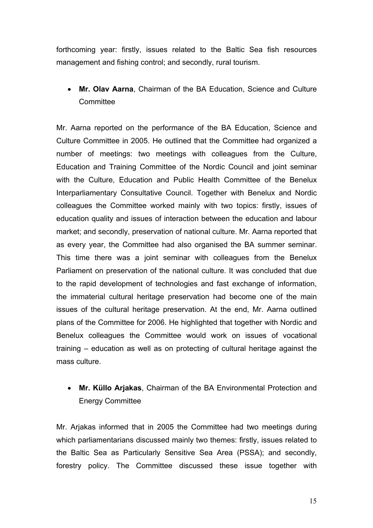forthcoming year: firstly, issues related to the Baltic Sea fish resources management and fishing control; and secondly, rural tourism.

• **Mr. Olav Aarna**, Chairman of the BA Education, Science and Culture **Committee** 

Mr. Aarna reported on the performance of the BA Education, Science and Culture Committee in 2005. He outlined that the Committee had organized a number of meetings: two meetings with colleagues from the Culture, Education and Training Committee of the Nordic Council and joint seminar with the Culture, Education and Public Health Committee of the Benelux Interparliamentary Consultative Council. Together with Benelux and Nordic colleagues the Committee worked mainly with two topics: firstly, issues of education quality and issues of interaction between the education and labour market; and secondly, preservation of national culture. Mr. Aarna reported that as every year, the Committee had also organised the BA summer seminar. This time there was a joint seminar with colleagues from the Benelux Parliament on preservation of the national culture. It was concluded that due to the rapid development of technologies and fast exchange of information, the immaterial cultural heritage preservation had become one of the main issues of the cultural heritage preservation. At the end, Mr. Aarna outlined plans of the Committee for 2006. He highlighted that together with Nordic and Benelux colleagues the Committee would work on issues of vocational training – education as well as on protecting of cultural heritage against the mass culture.

• **Mr. Küllo Arjakas**, Chairman of the BA Environmental Protection and Energy Committee

Mr. Arjakas informed that in 2005 the Committee had two meetings during which parliamentarians discussed mainly two themes: firstly, issues related to the Baltic Sea as Particularly Sensitive Sea Area (PSSA); and secondly, forestry policy. The Committee discussed these issue together with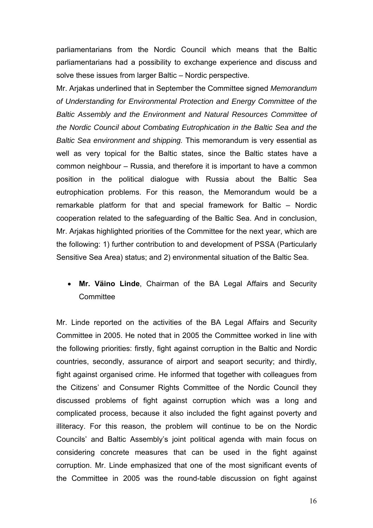parliamentarians from the Nordic Council which means that the Baltic parliamentarians had a possibility to exchange experience and discuss and solve these issues from larger Baltic – Nordic perspective.

Mr. Arjakas underlined that in September the Committee signed *Memorandum of Understanding for Environmental Protection and Energy Committee of the Baltic Assembly and the Environment and Natural Resources Committee of the Nordic Council about Combating Eutrophication in the Baltic Sea and the Baltic Sea environment and shipping.* This memorandum is very essential as well as very topical for the Baltic states, since the Baltic states have a common neighbour – Russia, and therefore it is important to have a common position in the political dialogue with Russia about the Baltic Sea eutrophication problems. For this reason, the Memorandum would be a remarkable platform for that and special framework for Baltic – Nordic cooperation related to the safeguarding of the Baltic Sea. And in conclusion, Mr. Arjakas highlighted priorities of the Committee for the next year, which are the following: 1) further contribution to and development of PSSA (Particularly Sensitive Sea Area) status; and 2) environmental situation of the Baltic Sea.

• **Mr. Väino Linde**, Chairman of the BA Legal Affairs and Security **Committee** 

Mr. Linde reported on the activities of the BA Legal Affairs and Security Committee in 2005. He noted that in 2005 the Committee worked in line with the following priorities: firstly, fight against corruption in the Baltic and Nordic countries, secondly, assurance of airport and seaport security; and thirdly, fight against organised crime. He informed that together with colleagues from the Citizens' and Consumer Rights Committee of the Nordic Council they discussed problems of fight against corruption which was a long and complicated process, because it also included the fight against poverty and illiteracy. For this reason, the problem will continue to be on the Nordic Councils' and Baltic Assembly's joint political agenda with main focus on considering concrete measures that can be used in the fight against corruption. Mr. Linde emphasized that one of the most significant events of the Committee in 2005 was the round-table discussion on fight against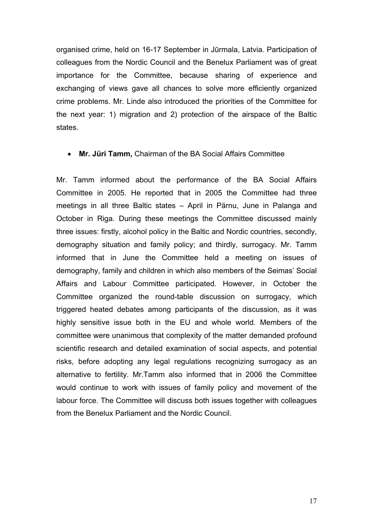organised crime, held on 16-17 September in Jūrmala, Latvia. Participation of colleagues from the Nordic Council and the Benelux Parliament was of great importance for the Committee, because sharing of experience and exchanging of views gave all chances to solve more efficiently organized crime problems. Mr. Linde also introduced the priorities of the Committee for the next year: 1) migration and 2) protection of the airspace of the Baltic states.

• **Mr. Jüri Tamm,** Chairman of the BA Social Affairs Committee

Mr. Tamm informed about the performance of the BA Social Affairs Committee in 2005. He reported that in 2005 the Committee had three meetings in all three Baltic states – April in Pärnu, June in Palanga and October in Riga. During these meetings the Committee discussed mainly three issues: firstly, alcohol policy in the Baltic and Nordic countries, secondly, demography situation and family policy; and thirdly, surrogacy. Mr. Tamm informed that in June the Committee held a meeting on issues of demography, family and children in which also members of the Seimas' Social Affairs and Labour Committee participated. However, in October the Committee organized the round-table discussion on surrogacy, which triggered heated debates among participants of the discussion, as it was highly sensitive issue both in the EU and whole world. Members of the committee were unanimous that complexity of the matter demanded profound scientific research and detailed examination of social aspects, and potential risks, before adopting any legal regulations recognizing surrogacy as an alternative to fertility. Mr.Tamm also informed that in 2006 the Committee would continue to work with issues of family policy and movement of the labour force. The Committee will discuss both issues together with colleagues from the Benelux Parliament and the Nordic Council.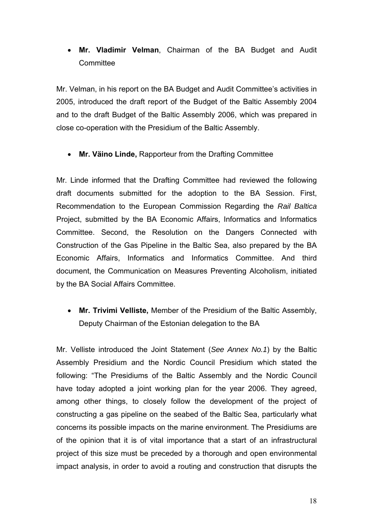# • **Mr. Vladimir Velman**, Chairman of the BA Budget and Audit **Committee**

Mr. Velman, in his report on the BA Budget and Audit Committee's activities in 2005, introduced the draft report of the Budget of the Baltic Assembly 2004 and to the draft Budget of the Baltic Assembly 2006, which was prepared in close co-operation with the Presidium of the Baltic Assembly.

• **Mr. Väino Linde,** Rapporteur from the Drafting Committee

Mr. Linde informed that the Drafting Committee had reviewed the following draft documents submitted for the adoption to the BA Session. First, Recommendation to the European Commission Regarding the *Rail Baltica* Project, submitted by the BA Economic Affairs, Informatics and Informatics Committee. Second, the Resolution on the Dangers Connected with Construction of the Gas Pipeline in the Baltic Sea, also prepared by the BA Economic Affairs, Informatics and Informatics Committee. And third document, the Communication on Measures Preventing Alcoholism, initiated by the BA Social Affairs Committee.

• **Mr. Trivimi Velliste,** Member of the Presidium of the Baltic Assembly, Deputy Chairman of the Estonian delegation to the BA

Mr. Velliste introduced the Joint Statement (*See Annex No.1*) by the Baltic Assembly Presidium and the Nordic Council Presidium which stated the following: "The Presidiums of the Baltic Assembly and the Nordic Council have today adopted a joint working plan for the year 2006. They agreed, among other things, to closely follow the development of the project of constructing a gas pipeline on the seabed of the Baltic Sea, particularly what concerns its possible impacts on the marine environment. The Presidiums are of the opinion that it is of vital importance that a start of an infrastructural project of this size must be preceded by a thorough and open environmental impact analysis, in order to avoid a routing and construction that disrupts the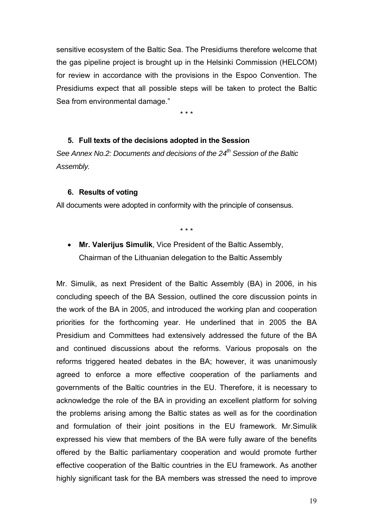sensitive ecosystem of the Baltic Sea. The Presidiums therefore welcome that the gas pipeline project is brought up in the Helsinki Commission (HELCOM) for review in accordance with the provisions in the Espoo Convention. The Presidiums expect that all possible steps will be taken to protect the Baltic Sea from environmental damage."

\* \* \*

#### **5. Full texts of the decisions adopted in the Session**

*See Annex No.2: Documents and decisions of the 24<sup>th</sup> Session of the Baltic Assembly.* 

#### **6. Results of voting**

All documents were adopted in conformity with the principle of consensus.

\* \* \*

# • **Mr. Valerijus Simulik**, Vice President of the Baltic Assembly, Chairman of the Lithuanian delegation to the Baltic Assembly

Mr. Simulik, as next President of the Baltic Assembly (BA) in 2006, in his concluding speech of the BA Session, outlined the core discussion points in the work of the BA in 2005, and introduced the working plan and cooperation priorities for the forthcoming year. He underlined that in 2005 the BA Presidium and Committees had extensively addressed the future of the BA and continued discussions about the reforms. Various proposals on the reforms triggered heated debates in the BA; however, it was unanimously agreed to enforce a more effective cooperation of the parliaments and governments of the Baltic countries in the EU. Therefore, it is necessary to acknowledge the role of the BA in providing an excellent platform for solving the problems arising among the Baltic states as well as for the coordination and formulation of their joint positions in the EU framework. Mr.Simulik expressed his view that members of the BA were fully aware of the benefits offered by the Baltic parliamentary cooperation and would promote further effective cooperation of the Baltic countries in the EU framework. As another highly significant task for the BA members was stressed the need to improve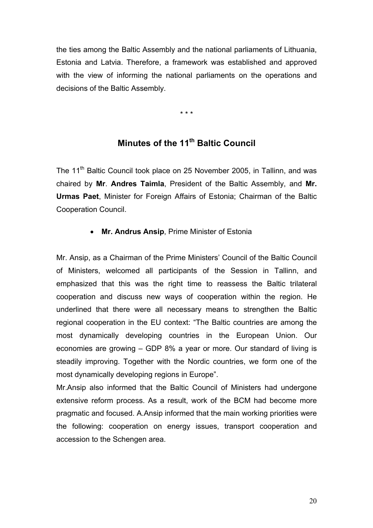the ties among the Baltic Assembly and the national parliaments of Lithuania, Estonia and Latvia. Therefore, a framework was established and approved with the view of informing the national parliaments on the operations and decisions of the Baltic Assembly.

\* \* \*

# **Minutes of the 11<sup>th</sup> Baltic Council**

The 11<sup>th</sup> Baltic Council took place on 25 November 2005, in Tallinn, and was chaired by **Mr**. **Andres Taimla**, President of the Baltic Assembly, and **Mr. Urmas Paet**, Minister for Foreign Affairs of Estonia; Chairman of the Baltic Cooperation Council.

#### • **Mr. Andrus Ansip**, Prime Minister of Estonia

Mr. Ansip, as a Chairman of the Prime Ministers' Council of the Baltic Council of Ministers, welcomed all participants of the Session in Tallinn, and emphasized that this was the right time to reassess the Baltic trilateral cooperation and discuss new ways of cooperation within the region. He underlined that there were all necessary means to strengthen the Baltic regional cooperation in the EU context: "The Baltic countries are among the most dynamically developing countries in the European Union. Our economies are growing – GDP 8% a year or more. Our standard of living is steadily improving. Together with the Nordic countries, we form one of the most dynamically developing regions in Europe".

Mr.Ansip also informed that the Baltic Council of Ministers had undergone extensive reform process. As a result, work of the BCM had become more pragmatic and focused. A.Ansip informed that the main working priorities were the following: cooperation on energy issues, transport cooperation and accession to the Schengen area.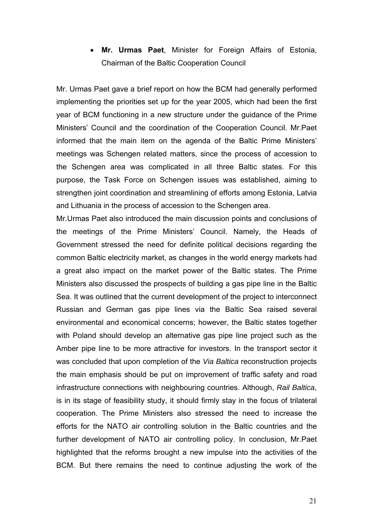## • **Mr. Urmas Paet**, Minister for Foreign Affairs of Estonia, Chairman of the Baltic Cooperation Council

Mr. Urmas Paet gave a brief report on how the BCM had generally performed implementing the priorities set up for the year 2005, which had been the first year of BCM functioning in a new structure under the guidance of the Prime Ministers' Council and the coordination of the Cooperation Council. Mr.Paet informed that the main item on the agenda of the Baltic Prime Ministers' meetings was Schengen related matters, since the process of accession to the Schengen area was complicated in all three Baltic states. For this purpose, the Task Force on Schengen issues was established, aiming to strengthen joint coordination and streamlining of efforts among Estonia, Latvia and Lithuania in the process of accession to the Schengen area.

Mr.Urmas Paet also introduced the main discussion points and conclusions of the meetings of the Prime Ministers' Council. Namely, the Heads of Government stressed the need for definite political decisions regarding the common Baltic electricity market, as changes in the world energy markets had a great also impact on the market power of the Baltic states. The Prime Ministers also discussed the prospects of building a gas pipe line in the Baltic Sea. It was outlined that the current development of the project to interconnect Russian and German gas pipe lines via the Baltic Sea raised several environmental and economical concerns; however, the Baltic states together with Poland should develop an alternative gas pipe line project such as the Amber pipe line to be more attractive for investors. In the transport sector it was concluded that upon completion of the *Via Baltica* reconstruction projects the main emphasis should be put on improvement of traffic safety and road infrastructure connections with neighbouring countries. Although, *Rail Baltica*, is in its stage of feasibility study, it should firmly stay in the focus of trilateral cooperation. The Prime Ministers also stressed the need to increase the efforts for the NATO air controlling solution in the Baltic countries and the further development of NATO air controlling policy. In conclusion, Mr.Paet highlighted that the reforms brought a new impulse into the activities of the BCM. But there remains the need to continue adjusting the work of the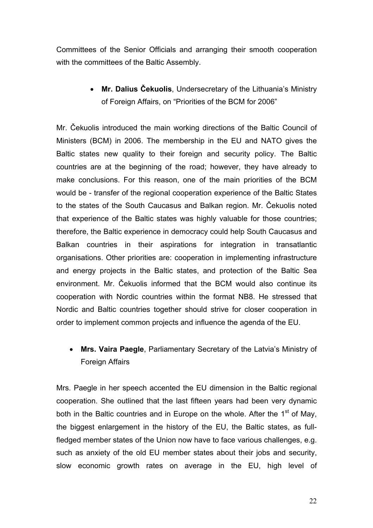Committees of the Senior Officials and arranging their smooth cooperation with the committees of the Baltic Assembly.

> • **Mr. Dalius Čekuolis**, Undersecretary of the Lithuania's Ministry of Foreign Affairs, on "Priorities of the BCM for 2006"

Mr. Čekuolis introduced the main working directions of the Baltic Council of Ministers (BCM) in 2006. The membership in the EU and NATO gives the Baltic states new quality to their foreign and security policy. The Baltic countries are at the beginning of the road; however, they have already to make conclusions. For this reason, one of the main priorities of the BCM would be - transfer of the regional cooperation experience of the Baltic States to the states of the South Caucasus and Balkan region. Mr. Čekuolis noted that experience of the Baltic states was highly valuable for those countries; therefore, the Baltic experience in democracy could help South Caucasus and Balkan countries in their aspirations for integration in transatlantic organisations. Other priorities are: cooperation in implementing infrastructure and energy projects in the Baltic states, and protection of the Baltic Sea environment. Mr. Čekuolis informed that the BCM would also continue its cooperation with Nordic countries within the format NB8. He stressed that Nordic and Baltic countries together should strive for closer cooperation in order to implement common projects and influence the agenda of the EU.

• **Mrs. Vaira Paegle**, Parliamentary Secretary of the Latvia's Ministry of Foreign Affairs

Mrs. Paegle in her speech accented the EU dimension in the Baltic regional cooperation. She outlined that the last fifteen years had been very dynamic both in the Baltic countries and in Europe on the whole. After the  $1<sup>st</sup>$  of May, the biggest enlargement in the history of the EU, the Baltic states, as fullfledged member states of the Union now have to face various challenges, e.g. such as anxiety of the old EU member states about their jobs and security, slow economic growth rates on average in the EU, high level of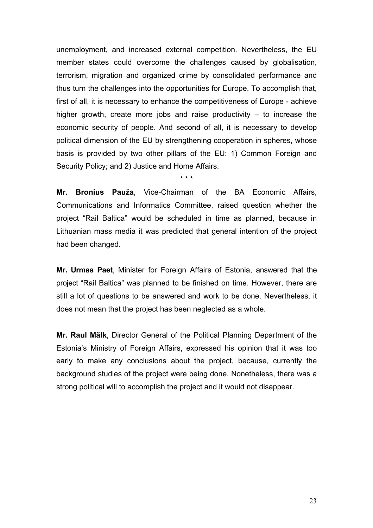unemployment, and increased external competition. Nevertheless, the EU member states could overcome the challenges caused by globalisation, terrorism, migration and organized crime by consolidated performance and thus turn the challenges into the opportunities for Europe. To accomplish that, first of all, it is necessary to enhance the competitiveness of Europe - achieve higher growth, create more jobs and raise productivity  $-$  to increase the economic security of people. And second of all, it is necessary to develop political dimension of the EU by strengthening cooperation in spheres, whose basis is provided by two other pillars of the EU: 1) Common Foreign and Security Policy; and 2) Justice and Home Affairs.

\* \* \*

**Mr. Bronius Pauža**, Vice-Chairman of the BA Economic Affairs, Communications and Informatics Committee, raised question whether the project "Rail Baltica" would be scheduled in time as planned, because in Lithuanian mass media it was predicted that general intention of the project had been changed.

**Mr. Urmas Paet**, Minister for Foreign Affairs of Estonia, answered that the project "Rail Baltica" was planned to be finished on time. However, there are still a lot of questions to be answered and work to be done. Nevertheless, it does not mean that the project has been neglected as a whole.

**Mr. Raul Mälk**, Director General of the Political Planning Department of the Estonia's Ministry of Foreign Affairs, expressed his opinion that it was too early to make any conclusions about the project, because, currently the background studies of the project were being done. Nonetheless, there was a strong political will to accomplish the project and it would not disappear.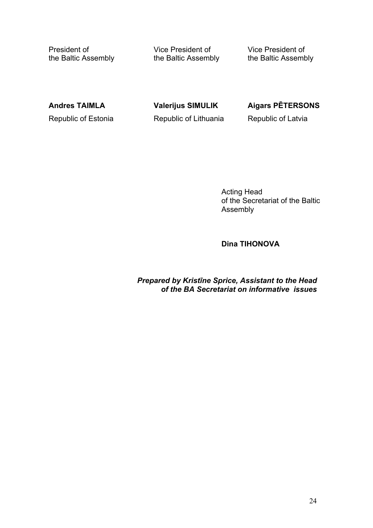President of the Baltic Assembly Vice President of vice in condent of<br>the Baltic Assembly Vice President of the Baltic Assembly

### **Andres TAIMLA**

Republic of Estonia

**Valerijus SIMULIK**  Republic of Lithuania

### **Aigars PĒTERSONS**

Republic of Latvia

Acting Head of the Secretariat of the Baltic Assembly

### **Dina TIHONOVA**

*Prepared by Kristīne Sprice, Assistant to the Head of the BA Secretariat on informative issues*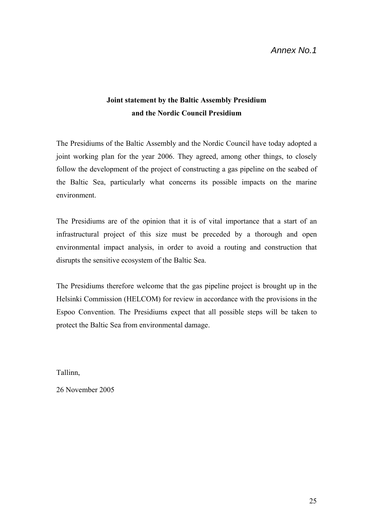# **Joint statement by the Baltic Assembly Presidium and the Nordic Council Presidium**

The Presidiums of the Baltic Assembly and the Nordic Council have today adopted a joint working plan for the year 2006. They agreed, among other things, to closely follow the development of the project of constructing a gas pipeline on the seabed of the Baltic Sea, particularly what concerns its possible impacts on the marine environment.

The Presidiums are of the opinion that it is of vital importance that a start of an infrastructural project of this size must be preceded by a thorough and open environmental impact analysis, in order to avoid a routing and construction that disrupts the sensitive ecosystem of the Baltic Sea.

The Presidiums therefore welcome that the gas pipeline project is brought up in the Helsinki Commission (HELCOM) for review in accordance with the provisions in the Espoo Convention. The Presidiums expect that all possible steps will be taken to protect the Baltic Sea from environmental damage.

Tallinn,

26 November 2005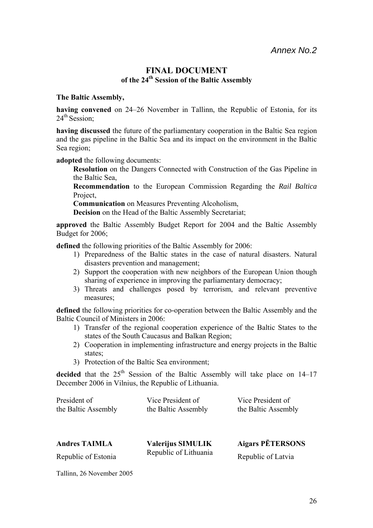### **FINAL DOCUMENT of the 24th Session of the Baltic Assembly**

**The Baltic Assembly,** 

**having convened** on 24–26 November in Tallinn, the Republic of Estonia, for its  $24^{\text{th}}$  Session;

**having discussed** the future of the parliamentary cooperation in the Baltic Sea region and the gas pipeline in the Baltic Sea and its impact on the environment in the Baltic Sea region;

**adopted** the following documents:

**Resolution** on the Dangers Connected with Construction of the Gas Pipeline in the Baltic Sea,

**Recommendation** to the European Commission Regarding the *Rail Baltica* Project,

**Communication** on Measures Preventing Alcoholism,

**Decision** on the Head of the Baltic Assembly Secretariat;

**approved** the Baltic Assembly Budget Report for 2004 and the Baltic Assembly Budget for 2006;

**defined** the following priorities of the Baltic Assembly for 2006:

- 1) Preparedness of the Baltic states in the case of natural disasters. Natural disasters prevention and management;
- 2) Support the cooperation with new neighbors of the European Union though sharing of experience in improving the parliamentary democracy;
- 3) Threats and challenges posed by terrorism, and relevant preventive measures;

**defined** the following priorities for co-operation between the Baltic Assembly and the Baltic Council of Ministers in 2006:

- 1) Transfer of the regional cooperation experience of the Baltic States to the states of the South Caucasus and Balkan Region;
- 2) Cooperation in implementing infrastructure and energy projects in the Baltic states;
- 3) Protection of the Baltic Sea environment;

decided that the  $25<sup>th</sup>$  Session of the Baltic Assembly will take place on  $14-17$ December 2006 in Vilnius, the Republic of Lithuania.

| President of        | Vice President of   | Vice President of   |
|---------------------|---------------------|---------------------|
| the Baltic Assembly | the Baltic Assembly | the Baltic Assembly |

| <b>Andres TAIMLA</b> | <b>Valerijus SIMULIK</b> | <b>Aigars PETERSONS</b> |
|----------------------|--------------------------|-------------------------|
| Republic of Estonia  | Republic of Lithuania    | Republic of Latvia      |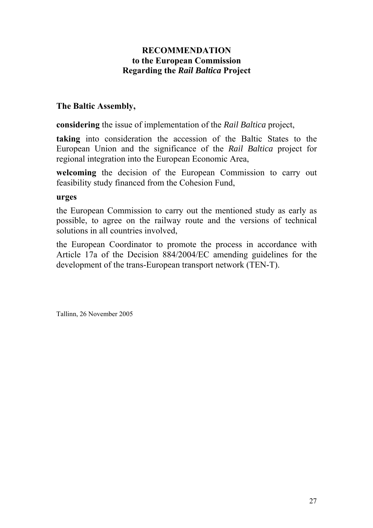## **RECOMMENDATION to the European Commission Regarding the** *Rail Baltica* **Project**

## **The Baltic Assembly,**

**considering** the issue of implementation of the *Rail Baltica* project,

**taking** into consideration the accession of the Baltic States to the European Union and the significance of the *Rail Baltica* project for regional integration into the European Economic Area,

**welcoming** the decision of the European Commission to carry out feasibility study financed from the Cohesion Fund,

## **urges**

the European Commission to carry out the mentioned study as early as possible, to agree on the railway route and the versions of technical solutions in all countries involved,

the European Coordinator to promote the process in accordance with Article 17a of the Decision 884/2004/EC amending guidelines for the development of the trans-European transport network (TEN-T).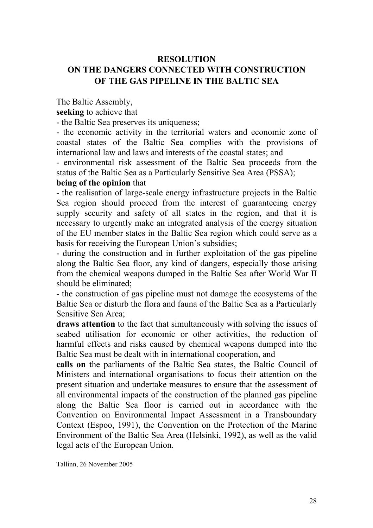# **RESOLUTION ON THE DANGERS CONNECTED WITH CONSTRUCTION OF THE GAS PIPELINE IN THE BALTIC SEA**

The Baltic Assembly,

## **seeking** to achieve that

- the Baltic Sea preserves its uniqueness;

- the economic activity in the territorial waters and economic zone of coastal states of the Baltic Sea complies with the provisions of international law and laws and interests of the coastal states; and

- environmental risk assessment of the Baltic Sea proceeds from the status of the Baltic Sea as a Particularly Sensitive Sea Area (PSSA);

## **being of the opinion** that

- the realisation of large-scale energy infrastructure projects in the Baltic Sea region should proceed from the interest of guaranteeing energy supply security and safety of all states in the region, and that it is necessary to urgently make an integrated analysis of the energy situation of the EU member states in the Baltic Sea region which could serve as a basis for receiving the European Union's subsidies;

- during the construction and in further exploitation of the gas pipeline along the Baltic Sea floor, any kind of dangers, especially those arising from the chemical weapons dumped in the Baltic Sea after World War II should be eliminated;

- the construction of gas pipeline must not damage the ecosystems of the Baltic Sea or disturb the flora and fauna of the Baltic Sea as a Particularly Sensitive Sea Area;

**draws attention** to the fact that simultaneously with solving the issues of seabed utilisation for economic or other activities, the reduction of harmful effects and risks caused by chemical weapons dumped into the Baltic Sea must be dealt with in international cooperation, and

**calls on** the parliaments of the Baltic Sea states, the Baltic Council of Ministers and international organisations to focus their attention on the present situation and undertake measures to ensure that the assessment of all environmental impacts of the construction of the planned gas pipeline along the Baltic Sea floor is carried out in accordance with the Convention on Environmental Impact Assessment in a Transboundary Context (Espoo, 1991), the Convention on the Protection of the Marine Environment of the Baltic Sea Area (Helsinki, 1992), as well as the valid legal acts of the European Union.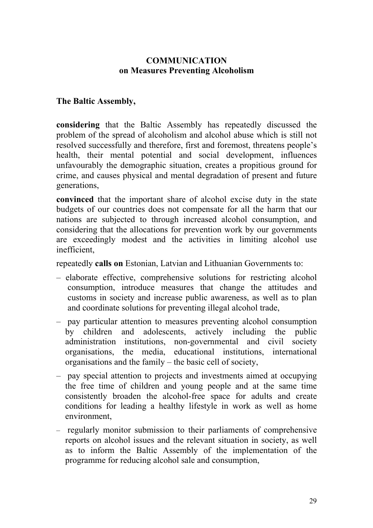## **COMMUNICATION on Measures Preventing Alcoholism**

## **The Baltic Assembly,**

**considering** that the Baltic Assembly has repeatedly discussed the problem of the spread of alcoholism and alcohol abuse which is still not resolved successfully and therefore, first and foremost, threatens people's health, their mental potential and social development, influences unfavourably the demographic situation, creates a propitious ground for crime, and causes physical and mental degradation of present and future generations,

**convinced** that the important share of alcohol excise duty in the state budgets of our countries does not compensate for all the harm that our nations are subjected to through increased alcohol consumption, and considering that the allocations for prevention work by our governments are exceedingly modest and the activities in limiting alcohol use inefficient,

repeatedly **calls on** Estonian, Latvian and Lithuanian Governments to:

- elaborate effective, comprehensive solutions for restricting alcohol consumption, introduce measures that change the attitudes and customs in society and increase public awareness, as well as to plan and coordinate solutions for preventing illegal alcohol trade,
- pay particular attention to measures preventing alcohol consumption by children and adolescents, actively including the public administration institutions, non-governmental and civil society organisations, the media, educational institutions, international organisations and the family – the basic cell of society,
- pay special attention to projects and investments aimed at occupying the free time of children and young people and at the same time consistently broaden the alcohol-free space for adults and create conditions for leading a healthy lifestyle in work as well as home environment,
- regularly monitor submission to their parliaments of comprehensive reports on alcohol issues and the relevant situation in society, as well as to inform the Baltic Assembly of the implementation of the programme for reducing alcohol sale and consumption,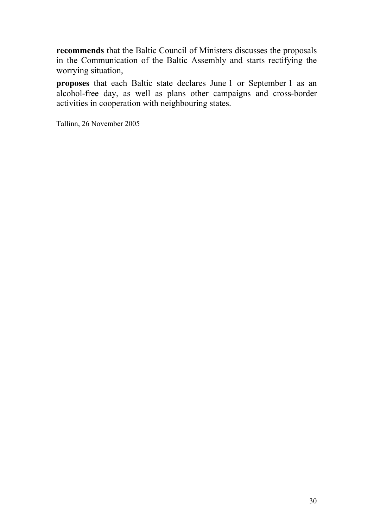**recommends** that the Baltic Council of Ministers discusses the proposals in the Communication of the Baltic Assembly and starts rectifying the worrying situation,

**proposes** that each Baltic state declares June 1 or September 1 as an alcohol-free day, as well as plans other campaigns and cross-border activities in cooperation with neighbouring states.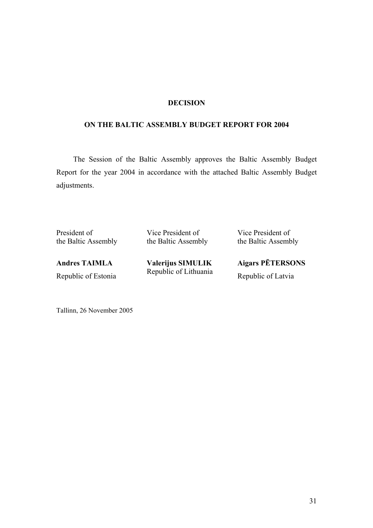#### **DECISION**

#### **ON THE BALTIC ASSEMBLY BUDGET REPORT FOR 2004**

The Session of the Baltic Assembly approves the Baltic Assembly Budget Report for the year 2004 in accordance with the attached Baltic Assembly Budget adjustments.

President of the Baltic Assembly Vice President of the Baltic Assembly

Vice President of the Baltic Assembly

**Andres TAIMLA**  Republic of Estonia

**Valerijus SIMULIK**  Republic of Lithuania **Aigars PĒTERSONS**  Republic of Latvia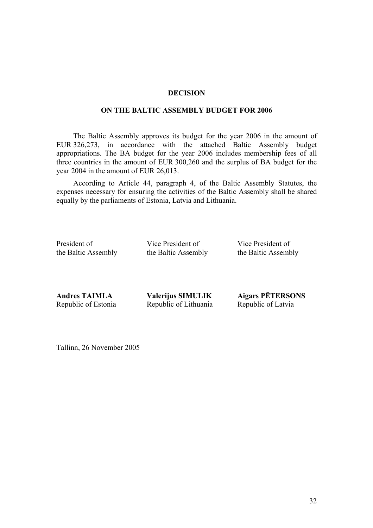#### **DECISION**

#### **ON THE BALTIC ASSEMBLY BUDGET FOR 2006**

The Baltic Assembly approves its budget for the year 2006 in the amount of EUR 326,273, in accordance with the attached Baltic Assembly budget appropriations. The BA budget for the year 2006 includes membership fees of all three countries in the amount of EUR 300,260 and the surplus of BA budget for the year 2004 in the amount of EUR 26,013.

According to Article 44, paragraph 4, of the Baltic Assembly Statutes, the expenses necessary for ensuring the activities of the Baltic Assembly shall be shared equally by the parliaments of Estonia, Latvia and Lithuania.

President of the Baltic Assembly

Vice President of the Baltic Assembly Vice President of the Baltic Assembly

**Andres TAIMLA**  Republic of Estonia **Valerijus SIMULIK**  Republic of Lithuania **Aigars PĒTERSONS**  Republic of Latvia